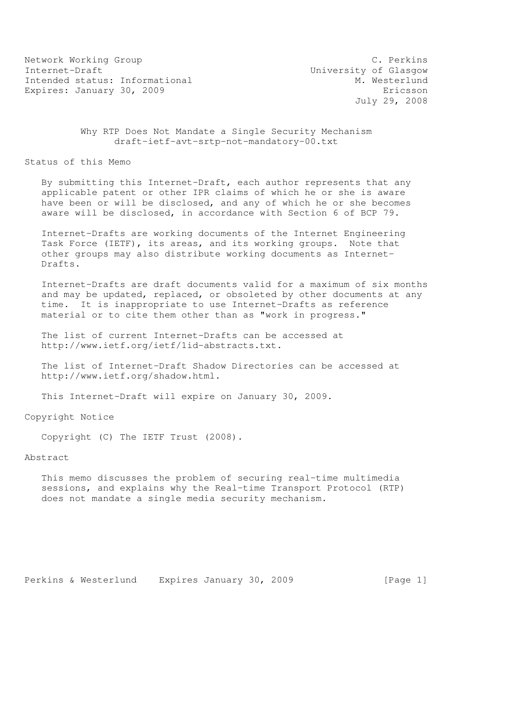Network Working Group C. Perkins Internet-Draft<br>Intended status: Informational M. Westerlund Intended status: Informational Expires: January 30, 2009 **Expires:** Expires: January 30, 2009

July 29, 2008

 Why RTP Does Not Mandate a Single Security Mechanism draft-ietf-avt-srtp-not-mandatory-00.txt

Status of this Memo

 By submitting this Internet-Draft, each author represents that any applicable patent or other IPR claims of which he or she is aware have been or will be disclosed, and any of which he or she becomes aware will be disclosed, in accordance with Section 6 of BCP 79.

 Internet-Drafts are working documents of the Internet Engineering Task Force (IETF), its areas, and its working groups. Note that other groups may also distribute working documents as Internet- Drafts.

 Internet-Drafts are draft documents valid for a maximum of six months and may be updated, replaced, or obsoleted by other documents at any time. It is inappropriate to use Internet-Drafts as reference material or to cite them other than as "work in progress."

 The list of current Internet-Drafts can be accessed at http://www.ietf.org/ietf/1id-abstracts.txt.

 The list of Internet-Draft Shadow Directories can be accessed at http://www.ietf.org/shadow.html.

This Internet-Draft will expire on January 30, 2009.

Copyright Notice

Copyright (C) The IETF Trust (2008).

Abstract

 This memo discusses the problem of securing real-time multimedia sessions, and explains why the Real-time Transport Protocol (RTP) does not mandate a single media security mechanism.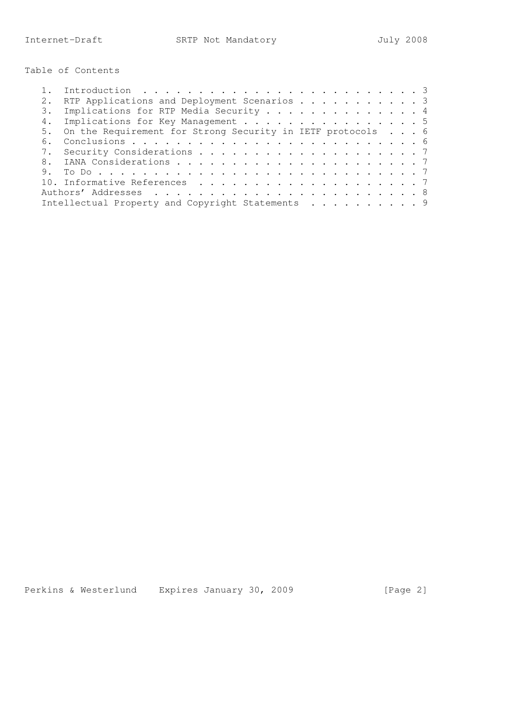Table of Contents

|    | RTP Applications and Deployment Scenarios 3                   |  |
|----|---------------------------------------------------------------|--|
|    | 3. Implications for RTP Media Security 4                      |  |
|    | 4. Implications for Key Management 5                          |  |
|    | 5. On the Requirement for Strong Security in IETF protocols 6 |  |
| 6. |                                                               |  |
|    |                                                               |  |
|    |                                                               |  |
|    |                                                               |  |
|    |                                                               |  |
|    |                                                               |  |
|    | Intellectual Property and Copyright Statements 9              |  |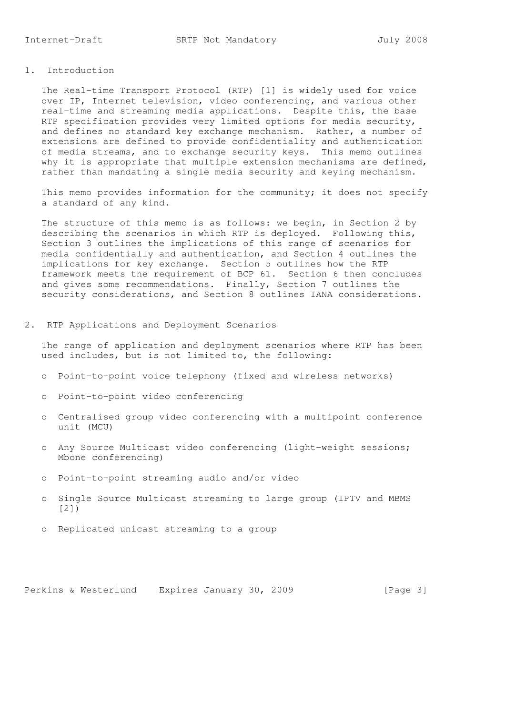## 1. Introduction

 The Real-time Transport Protocol (RTP) [1] is widely used for voice over IP, Internet television, video conferencing, and various other real-time and streaming media applications. Despite this, the base RTP specification provides very limited options for media security, and defines no standard key exchange mechanism. Rather, a number of extensions are defined to provide confidentiality and authentication of media streams, and to exchange security keys. This memo outlines why it is appropriate that multiple extension mechanisms are defined, rather than mandating a single media security and keying mechanism.

 This memo provides information for the community; it does not specify a standard of any kind.

 The structure of this memo is as follows: we begin, in Section 2 by describing the scenarios in which RTP is deployed. Following this, Section 3 outlines the implications of this range of scenarios for media confidentially and authentication, and Section 4 outlines the implications for key exchange. Section 5 outlines how the RTP framework meets the requirement of BCP 61. Section 6 then concludes and gives some recommendations. Finally, Section 7 outlines the security considerations, and Section 8 outlines IANA considerations.

2. RTP Applications and Deployment Scenarios

 The range of application and deployment scenarios where RTP has been used includes, but is not limited to, the following:

- o Point-to-point voice telephony (fixed and wireless networks)
- o Point-to-point video conferencing
- o Centralised group video conferencing with a multipoint conference unit (MCU)
- o Any Source Multicast video conferencing (light-weight sessions; Mbone conferencing)
- o Point-to-point streaming audio and/or video
- o Single Source Multicast streaming to large group (IPTV and MBMS [2])
- o Replicated unicast streaming to a group

Perkins & Westerlund Expires January 30, 2009 [Page 3]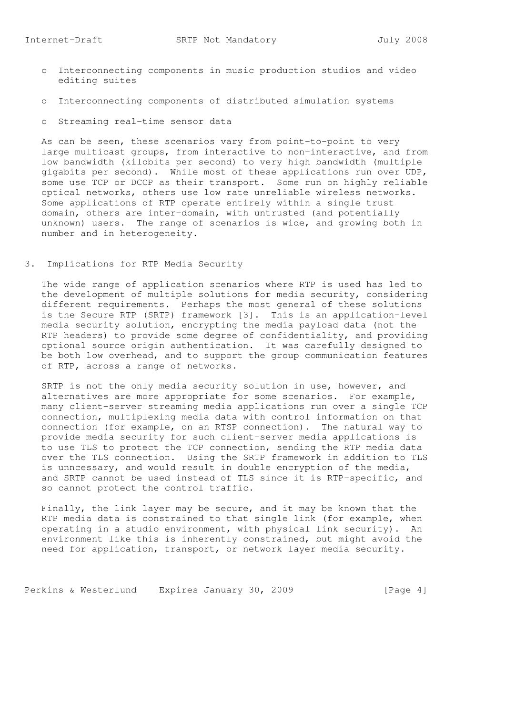- o Interconnecting components in music production studios and video editing suites
- o Interconnecting components of distributed simulation systems
- o Streaming real-time sensor data

 As can be seen, these scenarios vary from point-to-point to very large multicast groups, from interactive to non-interactive, and from low bandwidth (kilobits per second) to very high bandwidth (multiple gigabits per second). While most of these applications run over UDP, some use TCP or DCCP as their transport. Some run on highly reliable optical networks, others use low rate unreliable wireless networks. Some applications of RTP operate entirely within a single trust domain, others are inter-domain, with untrusted (and potentially unknown) users. The range of scenarios is wide, and growing both in number and in heterogeneity.

## 3. Implications for RTP Media Security

 The wide range of application scenarios where RTP is used has led to the development of multiple solutions for media security, considering different requirements. Perhaps the most general of these solutions is the Secure RTP (SRTP) framework [3]. This is an application-level media security solution, encrypting the media payload data (not the RTP headers) to provide some degree of confidentiality, and providing optional source origin authentication. It was carefully designed to be both low overhead, and to support the group communication features of RTP, across a range of networks.

 SRTP is not the only media security solution in use, however, and alternatives are more appropriate for some scenarios. For example, many client-server streaming media applications run over a single TCP connection, multiplexing media data with control information on that connection (for example, on an RTSP connection). The natural way to provide media security for such client-server media applications is to use TLS to protect the TCP connection, sending the RTP media data over the TLS connection. Using the SRTP framework in addition to TLS is unncessary, and would result in double encryption of the media, and SRTP cannot be used instead of TLS since it is RTP-specific, and so cannot protect the control traffic.

 Finally, the link layer may be secure, and it may be known that the RTP media data is constrained to that single link (for example, when operating in a studio environment, with physical link security). An environment like this is inherently constrained, but might avoid the need for application, transport, or network layer media security.

Perkins & Westerlund Expires January 30, 2009 [Page 4]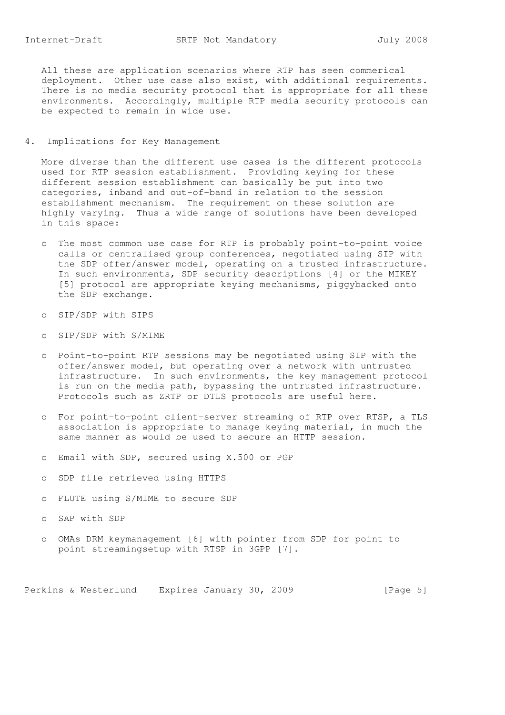All these are application scenarios where RTP has seen commerical deployment. Other use case also exist, with additional requirements. There is no media security protocol that is appropriate for all these environments. Accordingly, multiple RTP media security protocols can be expected to remain in wide use.

4. Implications for Key Management

 More diverse than the different use cases is the different protocols used for RTP session establishment. Providing keying for these different session establishment can basically be put into two categories, inband and out-of-band in relation to the session establishment mechanism. The requirement on these solution are highly varying. Thus a wide range of solutions have been developed in this space:

- o The most common use case for RTP is probably point-to-point voice calls or centralised group conferences, negotiated using SIP with the SDP offer/answer model, operating on a trusted infrastructure. In such environments, SDP security descriptions [4] or the MIKEY [5] protocol are appropriate keying mechanisms, piggybacked onto the SDP exchange.
- o SIP/SDP with SIPS
- o SIP/SDP with S/MIME
- o Point-to-point RTP sessions may be negotiated using SIP with the offer/answer model, but operating over a network with untrusted infrastructure. In such environments, the key management protocol is run on the media path, bypassing the untrusted infrastructure. Protocols such as ZRTP or DTLS protocols are useful here.
- o For point-to-point client-server streaming of RTP over RTSP, a TLS association is appropriate to manage keying material, in much the same manner as would be used to secure an HTTP session.
- o Email with SDP, secured using X.500 or PGP
- o SDP file retrieved using HTTPS
- o FLUTE using S/MIME to secure SDP
- o SAP with SDP
- o OMAs DRM keymanagement [6] with pointer from SDP for point to point streamingsetup with RTSP in 3GPP [7].

Perkins & Westerlund Expires January 30, 2009 [Page 5]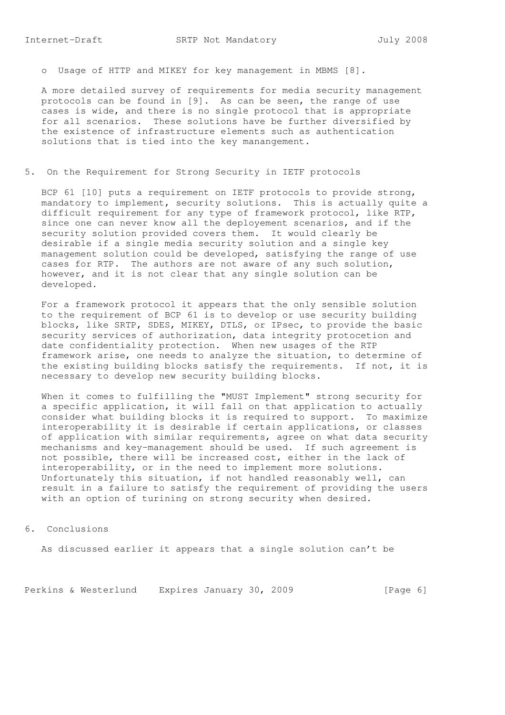o Usage of HTTP and MIKEY for key management in MBMS [8].

 A more detailed survey of requirements for media security management protocols can be found in [9]. As can be seen, the range of use cases is wide, and there is no single protocol that is appropriate for all scenarios. These solutions have be further diversified by the existence of infrastructure elements such as authentication solutions that is tied into the key manangement.

5. On the Requirement for Strong Security in IETF protocols

BCP 61 [10] puts a requirement on IETF protocols to provide strong, mandatory to implement, security solutions. This is actually quite a difficult requirement for any type of framework protocol, like RTP, since one can never know all the deployement scenarios, and if the security solution provided covers them. It would clearly be desirable if a single media security solution and a single key management solution could be developed, satisfying the range of use cases for RTP. The authors are not aware of any such solution, however, and it is not clear that any single solution can be developed.

 For a framework protocol it appears that the only sensible solution to the requirement of BCP 61 is to develop or use security building blocks, like SRTP, SDES, MIKEY, DTLS, or IPsec, to provide the basic security services of authorization, data integrity protocetion and date confidentiality protection. When new usages of the RTP framework arise, one needs to analyze the situation, to determine of the existing building blocks satisfy the requirements. If not, it is necessary to develop new security building blocks.

 When it comes to fulfilling the "MUST Implement" strong security for a specific application, it will fall on that application to actually consider what building blocks it is required to support. To maximize interoperability it is desirable if certain applications, or classes of application with similar requirements, agree on what data security mechanisms and key-management should be used. If such agreement is not possible, there will be increased cost, either in the lack of interoperability, or in the need to implement more solutions. Unfortunately this situation, if not handled reasonably well, can result in a failure to satisfy the requirement of providing the users with an option of turining on strong security when desired.

6. Conclusions

As discussed earlier it appears that a single solution can't be

Perkins & Westerlund Expires January 30, 2009 [Page 6]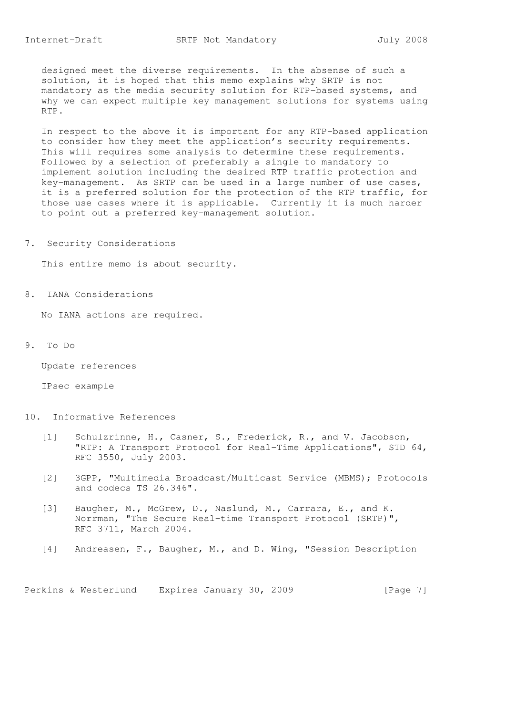designed meet the diverse requirements. In the absense of such a solution, it is hoped that this memo explains why SRTP is not mandatory as the media security solution for RTP-based systems, and why we can expect multiple key management solutions for systems using RTP.

 In respect to the above it is important for any RTP-based application to consider how they meet the application's security requirements. This will requires some analysis to determine these requirements. Followed by a selection of preferably a single to mandatory to implement solution including the desired RTP traffic protection and key-management. As SRTP can be used in a large number of use cases, it is a preferred solution for the protection of the RTP traffic, for those use cases where it is applicable. Currently it is much harder to point out a preferred key-management solution.

7. Security Considerations

This entire memo is about security.

8. IANA Considerations

No IANA actions are required.

9. To Do

Update references

IPsec example

- 10. Informative References
	- [1] Schulzrinne, H., Casner, S., Frederick, R., and V. Jacobson, "RTP: A Transport Protocol for Real-Time Applications", STD 64, RFC 3550, July 2003.
	- [2] 3GPP, "Multimedia Broadcast/Multicast Service (MBMS); Protocols and codecs TS 26.346".
	- [3] Baugher, M., McGrew, D., Naslund, M., Carrara, E., and K. Norrman, "The Secure Real-time Transport Protocol (SRTP)", RFC 3711, March 2004.
	- [4] Andreasen, F., Baugher, M., and D. Wing, "Session Description

Perkins & Westerlund Expires January 30, 2009 [Page 7]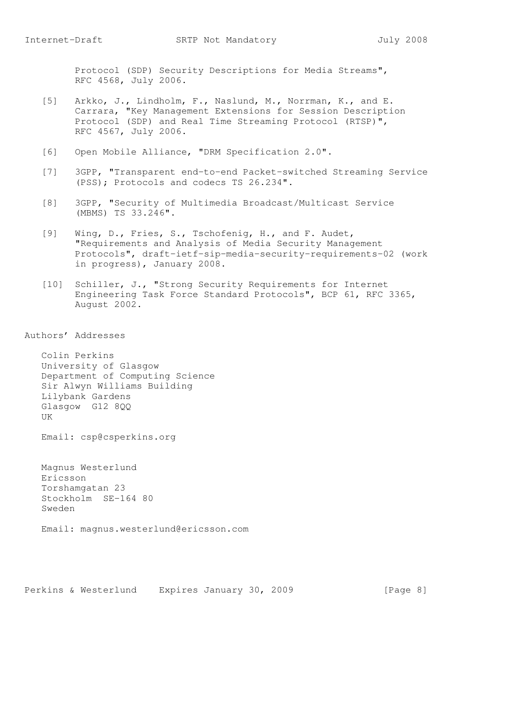Protocol (SDP) Security Descriptions for Media Streams", RFC 4568, July 2006.

- [5] Arkko, J., Lindholm, F., Naslund, M., Norrman, K., and E. Carrara, "Key Management Extensions for Session Description Protocol (SDP) and Real Time Streaming Protocol (RTSP)", RFC 4567, July 2006.
- [6] Open Mobile Alliance, "DRM Specification 2.0".
- [7] 3GPP, "Transparent end-to-end Packet-switched Streaming Service (PSS); Protocols and codecs TS 26.234".
- [8] 3GPP, "Security of Multimedia Broadcast/Multicast Service (MBMS) TS 33.246".
- [9] Wing, D., Fries, S., Tschofenig, H., and F. Audet, "Requirements and Analysis of Media Security Management Protocols", draft-ietf-sip-media-security-requirements-02 (work in progress), January 2008.
- [10] Schiller, J., "Strong Security Requirements for Internet Engineering Task Force Standard Protocols", BCP 61, RFC 3365, August 2002.

Authors' Addresses

 Colin Perkins University of Glasgow Department of Computing Science Sir Alwyn Williams Building Lilybank Gardens Glasgow G12 8QQ UK

Email: csp@csperkins.org

 Magnus Westerlund Ericsson Torshamgatan 23 Stockholm SE-164 80 Sweden

Email: magnus.westerlund@ericsson.com